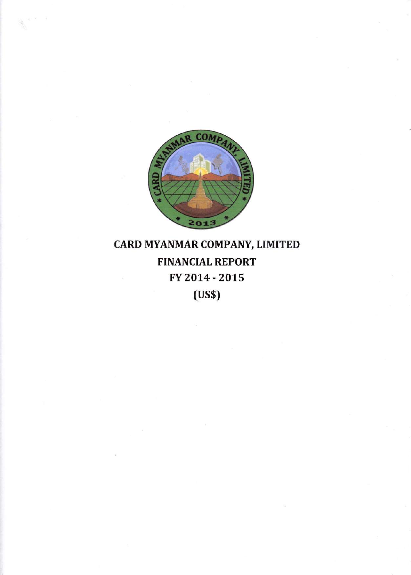

# CARD MYANMAR COMPANY, LIMITED **FINANCIAL REPORT** FY 2014 - 2015  $(US$)$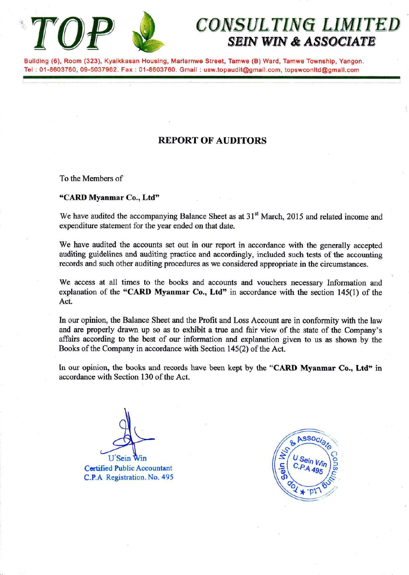

# CONSULTING LIMITED SEIN WIN & ASSOCIATE

Building (6), Room (323), Kyaikkasan Housing, Marlarnwe Street, Tamwe (B) Ward, Tamwe Township, Yangon. Tel : 01-8603760, 09-5037962. Fax : 01-8603760. Gmail : usw.topaudit@gmail.com, topswconltd@gmail.com

### **REPORT OF AUDITORS**

To the Members of

#### "CARI) Myanmar Co.., Ltd'

We have audited the accompanying Balance Sheet as at 31<sup>st</sup> March, 2015 and related income and expenditure statement for the year ended on that date.

We have audited the accounts set out in our report in accordance with the generally accepted auditing guidelines and auditing practice and accordingly, included such tests of the accounting records and such other auditing procedures as we considered appropriate in the circumstances.

We access at all times to the books and accounts and vouchers necessary Information and explanation of the "CARD Myanmar Co., Ltd" in accordance with the section  $145(1)$  of the Act.

In our opinion, the Balance Sheet and the Profit and Loss Account are in conformity with the law and are properly drawn up so as to exhibit a true and fair view of the state of the Company's affairs according to the best of our information and explanation given to us as shown by the Books of the Company in accordance with Section l45Q) of the Act.

In our opinion, the books and records have been kept by the "CARD Myanmar Co., Ltd" in accordance with Section 130 of the Act.

**U** Sein

Cortified Pubtic Aocountant C.P.A Registration. No. 495

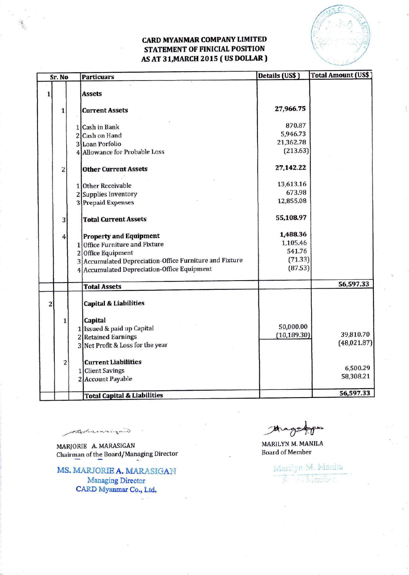### **CARD MYANMAR COMPANY LIMITED** STATEMENT OF FINICIAL POSITION AS AT 31, MARCH 2015 (US DOLLAR)



| Sr. No         |              |              | <b>Particuars</b>                                                                                                                                                                                    | Details (US\$)                                       | <b>Total Amount (US\$)</b> |
|----------------|--------------|--------------|------------------------------------------------------------------------------------------------------------------------------------------------------------------------------------------------------|------------------------------------------------------|----------------------------|
| $\bf{1}$       |              |              | <b>Assets</b>                                                                                                                                                                                        |                                                      |                            |
|                | 1            |              | <b>Current Assets</b>                                                                                                                                                                                | 27,966.75                                            |                            |
|                |              |              | 1 Cash in Bank<br>2 Cash on Hand<br>3 Loan Porfolio<br>4 Allowance for Probable Loss                                                                                                                 | 870.87<br>5,946.73<br>21,362.78<br>(213.63)          |                            |
|                | 2            |              | <b>Other Current Assets</b><br>1 Other Receivable<br>2 Supplies Inventory<br>3 Prepaid Expenses                                                                                                      | 27,142.22<br>13,613.16<br>673.98<br>12,855.08        |                            |
|                | 3            |              | <b>Total Current Assets</b>                                                                                                                                                                          | 55,108.97                                            |                            |
|                | 4            | $\mathbf{1}$ | <b>Property and Equipment</b><br><b>Office Furniture and Fixture</b><br>2 Office Equipment<br>3 Accumulated Depreciation-Office Furniture and Fixture<br>4 Accumulated Depreciation-Office Equipment | 1,488.36<br>1,105.46<br>541.76<br>(71.33)<br>(87.53) |                            |
|                |              |              | <b>Total Assets</b>                                                                                                                                                                                  |                                                      | 56,597.33                  |
| $\overline{2}$ | $\mathbf{1}$ |              | <b>Capital &amp; Liabilities</b><br>Capital                                                                                                                                                          |                                                      |                            |
|                |              |              | 1 Issued & paid up Capital<br>2 Retained Earnings<br>3 Net Profit & Loss for the year                                                                                                                | 50,000.00<br>(10, 189.30)                            | 39,810.70<br>(48,021.87)   |
|                | $\mathbf{2}$ |              | <b>Current Liabilities</b><br>1 Client Savings<br>2 Account Payable                                                                                                                                  |                                                      | 6,500.29<br>58,308.21      |
|                |              |              | <b>Total Capital &amp; Liabilities</b>                                                                                                                                                               |                                                      | 56,597.33                  |

Ahamaizaw

MARJORIE A. MARASIGAN Chairman of the Board/Managing Director

MS. MARJORIE A. MARASIGAN **Managing Director** CARD Myanmar Co., Ltd.

w

MARILYN M. MANILA **Board of Member** 

> Marilyn M. Marila e, Maniser